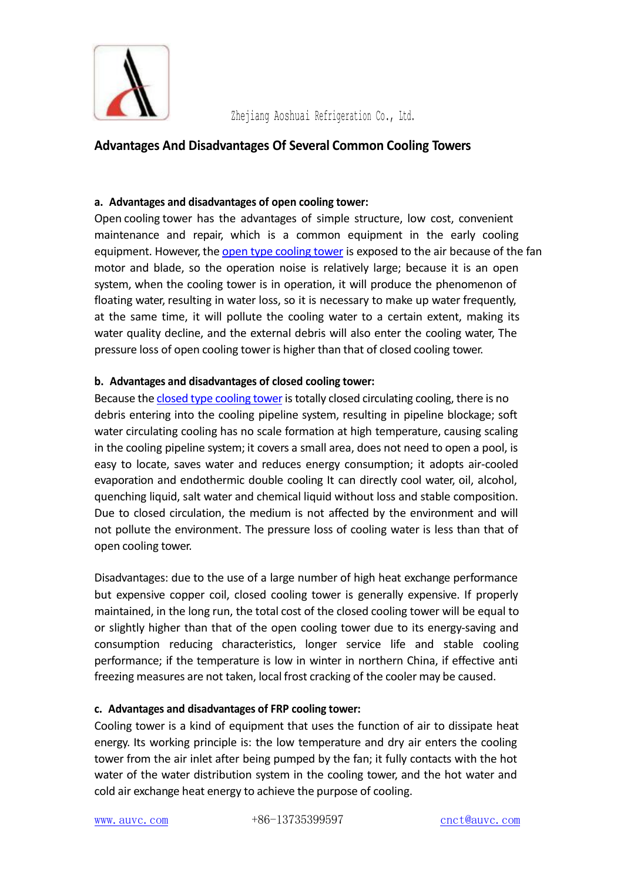

Zhejiang Aoshuai Refrigeration Co., Ltd.

## **Advantages And Disadvantages Of Several Common Cooling Towers**

## **a. Advantages and disadvantages of open cooling tower:**

Open cooling tower has the advantages of simple structure, low cost, convenient maintenance and repair, which is a common equipment in the early cooling equipment. However, the open type [cooling](https://www.auvc.com/products/open-circuit-cooling-tower/) tower is exposed to the air because of the fan motor and blade, so the operation noise is relatively large; because it is an open system, when the cooling tower is in operation, it will produce the phenomenon of floating water, resulting in water loss, so it is necessary to make up water frequently, at the same time, it will pollute the cooling water to a certain extent, making its water quality decline, and the external debris will also enter the cooling water, The pressure loss of open cooling tower is higher than that of closed cooling tower.

## **b. Advantages and disadvantages of closed cooling tower:**

Because the closed type [cooling](https://www.auvc.com/products/closed-circuit-cooling-tower/) tower istotally closed circulating cooling, there is no debris entering into the cooling pipeline system, resulting in pipeline blockage; soft water circulating cooling has no scale formation at high temperature, causing scaling in the cooling pipeline system; it covers a small area, does not need to open a pool, is easy to locate, saves water and reduces energy consumption; it adopts air-cooled evaporation and endothermic double cooling It can directly cool water, oil, alcohol, quenching liquid, salt water and chemical liquid without loss and stable composition. Due to closed circulation, the medium is not affected by the environment and will not pollute the environment. The pressure loss of cooling water is less than that of open cooling tower.

Disadvantages: due to the use of a large number of high heat exchange performance but expensive copper coil, closed cooling tower is generally expensive. If properly maintained, in the long run, the total cost of the closed cooling tower will be equal to or slightly higher than that of the open cooling tower due to its energy-saving and consumption reducing characteristics, longer service life and stable cooling performance; if the temperature is low in winter in northern China, if effective anti freezing measures are not taken, local frost cracking of the cooler may be caused.

## **c. Advantages and disadvantages of FRP cooling tower:**

Cooling tower is a kind of equipment that uses the function of air to dissipate heat energy. Its working principle is: the low temperature and dry air enters the cooling tower from the air inlet after being pumped by the fan; it fully contacts with the hot water of the water distribution system in the cooling tower, and the hot water and cold air exchange heat energy to achieve the purpose of cooling.